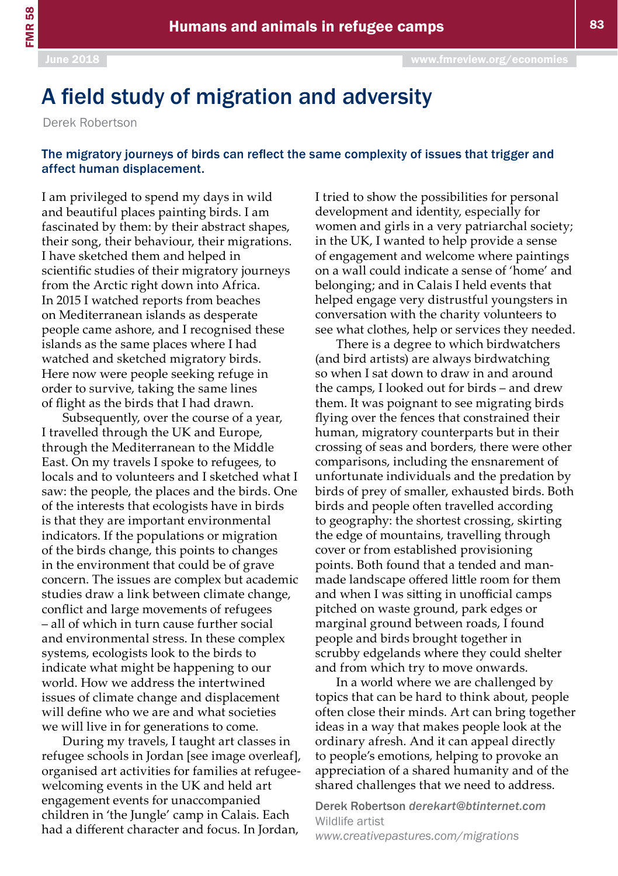## A field study of migration and adversity

Derek Robertson

## The migratory journeys of birds can reflect the same complexity of issues that trigger and affect human displacement.

I am privileged to spend my days in wild and beautiful places painting birds. I am fascinated by them: by their abstract shapes, their song, their behaviour, their migrations. I have sketched them and helped in scientific studies of their migratory journeys from the Arctic right down into Africa. In 2015 I watched reports from beaches on Mediterranean islands as desperate people came ashore, and I recognised these islands as the same places where I had watched and sketched migratory birds. Here now were people seeking refuge in order to survive, taking the same lines of flight as the birds that I had drawn.

Subsequently, over the course of a year, I travelled through the UK and Europe, through the Mediterranean to the Middle East. On my travels I spoke to refugees, to locals and to volunteers and I sketched what I saw: the people, the places and the birds. One of the interests that ecologists have in birds is that they are important environmental indicators. If the populations or migration of the birds change, this points to changes in the environment that could be of grave concern. The issues are complex but academic studies draw a link between climate change, conflict and large movements of refugees – all of which in turn cause further social and environmental stress. In these complex systems, ecologists look to the birds to indicate what might be happening to our world. How we address the intertwined issues of climate change and displacement will define who we are and what societies we will live in for generations to come.

During my travels, I taught art classes in refugee schools in Jordan [see image overleaf], organised art activities for families at refugeewelcoming events in the UK and held art engagement events for unaccompanied children in 'the Jungle' camp in Calais. Each had a different character and focus. In Jordan,

I tried to show the possibilities for personal development and identity, especially for women and girls in a very patriarchal society; in the UK, I wanted to help provide a sense of engagement and welcome where paintings on a wall could indicate a sense of 'home' and belonging; and in Calais I held events that helped engage very distrustful youngsters in conversation with the charity volunteers to see what clothes, help or services they needed.

There is a degree to which birdwatchers (and bird artists) are always birdwatching so when I sat down to draw in and around the camps, I looked out for birds – and drew them. It was poignant to see migrating birds flying over the fences that constrained their human, migratory counterparts but in their crossing of seas and borders, there were other comparisons, including the ensnarement of unfortunate individuals and the predation by birds of prey of smaller, exhausted birds. Both birds and people often travelled according to geography: the shortest crossing, skirting the edge of mountains, travelling through cover or from established provisioning points. Both found that a tended and manmade landscape offered little room for them and when I was sitting in unofficial camps pitched on waste ground, park edges or marginal ground between roads, I found people and birds brought together in scrubby edgelands where they could shelter and from which try to move onwards.

In a world where we are challenged by topics that can be hard to think about, people often close their minds. Art can bring together ideas in a way that makes people look at the ordinary afresh. And it can appeal directly to people's emotions, helping to provoke an appreciation of a shared humanity and of the shared challenges that we need to address.

Derek Robertson *derekart@btinternet.com* Wildlife artist *[www.creativepastures.com/migrations](http://www.creativepastures.com/migrations)*